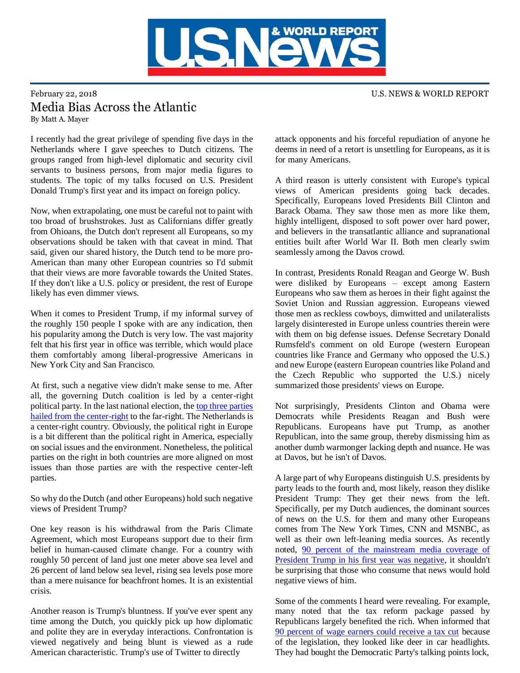

## February 22, 2018 U.S. NEWS & WORLD REPORT Media Bias Across the Atlantic By Matt A. Mayer

I recently had the great privilege of spending five days in the Netherlands where I gave speeches to Dutch citizens. The groups ranged from high-level diplomatic and security civil servants to business persons, from major media figures to students. The topic of my talks focused on U.S. President Donald Trump's first year and its impact on foreign policy.

Now, when extrapolating, one must be careful not to paint with too broad of brushstrokes. Just as Californians differ greatly from Ohioans, the Dutch don't represent all Europeans, so my observations should be taken with that caveat in mind. That said, given our shared history, the Dutch tend to be more pro-American than many other European countries so I'd submit that their views are more favorable towards the United States. If they don't like a U.S. policy or president, the rest of Europe likely has even dimmer views.

When it comes to President Trump, if my informal survey of the roughly 150 people I spoke with are any indication, then his popularity among the Dutch is very low. The vast majority felt that his first year in office was terrible, which would place them comfortably among liberal-progressive Americans in New York City and San Francisco.

At first, such a negative view didn't make sense to me. After all, the governing Dutch coalition is led by a center-right political party. In the last national election, the [top three parties](https://en.wikipedia.org/wiki/Dutch_general_election,_2017)  [hailed from the center-right](https://en.wikipedia.org/wiki/Dutch_general_election,_2017) to the far-right. The Netherlands is a center-right country. Obviously, the political right in Europe is a bit different than the political right in America, especially on social issues and the environment. Nonetheless, the political parties on the right in both countries are more aligned on most issues than those parties are with the respective center-left parties.

So why do the Dutch (and other Europeans) hold such negative views of President Trump?

One key reason is his withdrawal from the Paris Climate Agreement, which most Europeans support due to their firm belief in human-caused climate change. For a country with roughly 50 percent of land just one meter above sea level and 26 percent of land below sea level, rising sea levels pose more than a mere nuisance for beachfront homes. It is an existential crisis.

Another reason is Trump's bluntness. If you've ever spent any time among the Dutch, you quickly pick up how diplomatic and polite they are in everyday interactions. Confrontation is viewed negatively and being blunt is viewed as a rude American characteristic. Trump's use of Twitter to directly

attack opponents and his forceful repudiation of anyone he deems in need of a retort is unsettling for Europeans, as it is for many Americans.

A third reason is utterly consistent with Europe's typical views of American presidents going back decades. Specifically, Europeans loved Presidents Bill Clinton and Barack Obama. They saw those men as more like them, highly intelligent, disposed to soft power over hard power, and believers in the transatlantic alliance and supranational entities built after World War II. Both men clearly swim seamlessly among the Davos crowd.

In contrast, Presidents Ronald Reagan and George W. Bush were disliked by Europeans – except among Eastern Europeans who saw them as heroes in their fight against the Soviet Union and Russian aggression. Europeans viewed those men as reckless cowboys, dimwitted and unilateralists largely disinterested in Europe unless countries therein were with them on big defense issues. Defense Secretary Donald Rumsfeld's comment on old Europe (western European countries like France and Germany who opposed the U.S.) and new Europe (eastern European countries like Poland and the Czech Republic who supported the U.S.) nicely summarized those presidents' views on Europe.

Not surprisingly, Presidents Clinton and Obama were Democrats while Presidents Reagan and Bush were Republicans. Europeans have put Trump, as another Republican, into the same group, thereby dismissing him as another dumb warmonger lacking depth and nuance. He was at Davos, but he isn't of Davos.

A large part of why Europeans distinguish U.S. presidents by party leads to the fourth and, most likely, reason they dislike President Trump: They get their news from the left. Specifically, per my Dutch audiences, the dominant sources of news on the U.S. for them and many other Europeans comes from The New York Times, CNN and MSNBC, as well as their own left-leaning media sources. As recently noted, [90 percent of the mainstream media coverage of](https://www.newsbusters.org/blogs/nb/rich-noyes/2018/01/16/2017-year-news-media-went-war-against-president)  [President Trump in his first year was negative,](https://www.newsbusters.org/blogs/nb/rich-noyes/2018/01/16/2017-year-news-media-went-war-against-president) it shouldn't be surprising that those who consume that news would hold negative views of him.

Some of the comments I heard were revealing. For example, many noted that the tax reform package passed by Republicans largely benefited the rich. When informed that [90 percent of wage earners could receive a tax cut](http://money.cnn.com/2018/01/11/pf/taxes/new-tax-law-withholding/index.html) because of the legislation, they looked like deer in car headlights. They had bought the Democratic Party's talking points lock,